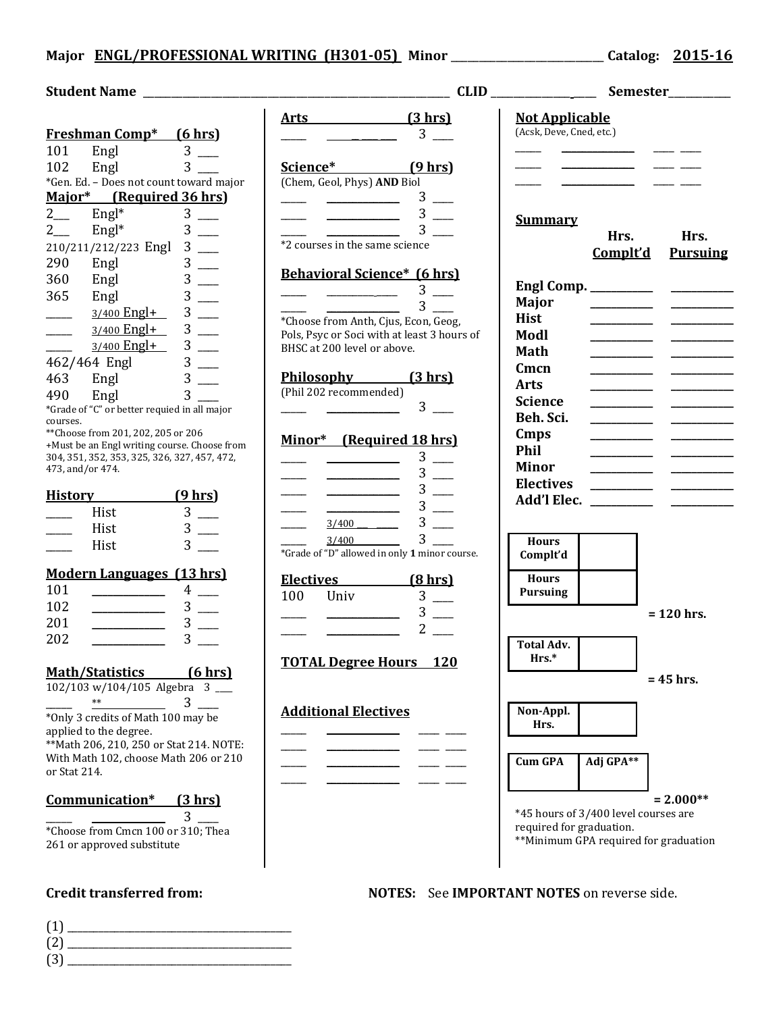## **Major ENGL/PROFESSIONAL WRITING (H301-05) Minor** \_\_\_\_\_\_\_\_\_\_\_\_\_\_\_\_\_\_\_\_\_\_\_\_\_\_\_ **Catalog: 2015-16**

|                                                                                                                               | <u>Arts (3 hrs)</u>                                                                          | <b>Not Applicable</b>                                     |                                                                                                                       |
|-------------------------------------------------------------------------------------------------------------------------------|----------------------------------------------------------------------------------------------|-----------------------------------------------------------|-----------------------------------------------------------------------------------------------------------------------|
| Freshman Comp* (6 hrs)                                                                                                        | $\frac{1}{\sqrt{1-\frac{1}{2}}}\frac{3}{\sqrt{1-\frac{1}{2}}}$                               | (Acsk, Deve, Cned, etc.)                                  |                                                                                                                       |
| Engl $\begin{array}{c} 3 \overline{\phantom{0}} \\ -8 \overline{\phantom{0}} \\ -1 \overline{\phantom{0}} \end{array}$<br>101 |                                                                                              |                                                           | <u> Albanya di Bandar di Bandar di Bandar di Bandar di Bandar di Bandar di Bandar di Bandar di Bandar di Bandar d</u> |
| $3$ —<br>102                                                                                                                  | Science* (9 hrs)                                                                             |                                                           |                                                                                                                       |
| *Gen. Ed. - Does not count toward major                                                                                       | (Chem, Geol, Phys) AND Biol                                                                  |                                                           | <u> 1990 - John Hollen, francouzski film</u>                                                                          |
| Major* (Required 36 hrs)                                                                                                      | $3$ —                                                                                        |                                                           |                                                                                                                       |
| $\overline{2}$                                                                                                                | $\frac{1}{\sqrt{1-\frac{3}{2}}}$ 3 $\frac{1}{\sqrt{1-\frac{3}{2}}}$                          |                                                           |                                                                                                                       |
| Engl <sup>*</sup> $3 \longrightarrow$ Engl <sup>*</sup> $3 \longrightarrow$<br>$2$ <sub>___</sub>                             |                                                                                              | <b>Summary</b>                                            |                                                                                                                       |
| 210/211/212/223 Engl 3                                                                                                        | *2 courses in the same science                                                               |                                                           | Hrs.<br>Hrs.                                                                                                          |
| $3$ __<br>290<br>Engl                                                                                                         |                                                                                              |                                                           | Complt'd<br><b>Pursuing</b>                                                                                           |
| 360                                                                                                                           | <b>Behavioral Science*</b> (6 hrs)                                                           |                                                           |                                                                                                                       |
| $3$ —<br>Engl                                                                                                                 | $\frac{1}{\sqrt{1-\frac{1}{2}}}\frac{3}{\sqrt{1-\frac{1}{2}}}\frac{3}{\sqrt{1-\frac{1}{2}}}$ |                                                           |                                                                                                                       |
| 365<br>$3$ —<br>Engl                                                                                                          | 3 <sup>7</sup>                                                                               | Major                                                     |                                                                                                                       |
| $3$ —<br>$3/400$ Engl+<br>$\overline{\phantom{a}}$                                                                            | *Choose from Anth, Cjus, Econ, Geog,                                                         | <b>Hist</b>                                               |                                                                                                                       |
| $3$ —<br>3/400 Engl+<br>$\overline{\phantom{a}}$                                                                              | Pols, Psyc or Soci with at least 3 hours of                                                  | Modl                                                      |                                                                                                                       |
| $3/400$ Engl+ 3 __                                                                                                            | BHSC at 200 level or above.                                                                  | Math                                                      |                                                                                                                       |
| 462/464 Engl 3                                                                                                                |                                                                                              | Cmcn                                                      |                                                                                                                       |
| Engl $3$ $\_\_$<br>463                                                                                                        | Philosophy (3 hrs)                                                                           | <b>Arts</b>                                               |                                                                                                                       |
| $3^{\circ}$<br>490<br>Engl                                                                                                    | (Phil 202 recommended)                                                                       | <b>Science</b>                                            |                                                                                                                       |
| *Grade of "C" or better requied in all major                                                                                  | $3$ —                                                                                        | Beh. Sci.                                                 |                                                                                                                       |
| courses.                                                                                                                      |                                                                                              |                                                           |                                                                                                                       |
| ** Choose from 201, 202, 205 or 206<br>+Must be an Engl writing course. Choose from                                           | Minor* (Required 18 hrs)                                                                     | Cmps                                                      |                                                                                                                       |
| 304, 351, 352, 353, 325, 326, 327, 457, 472,                                                                                  | $3$ —                                                                                        | <b>Phil</b>                                               |                                                                                                                       |
| 473, and/or 474.                                                                                                              | $3$ —                                                                                        | <b>Minor</b>                                              |                                                                                                                       |
|                                                                                                                               | $3$ —                                                                                        | <b>Electives</b>                                          |                                                                                                                       |
| History (9 hrs)                                                                                                               | $3$ —<br><u> 1980 - Andrea Barbara, poeta esp</u>                                            |                                                           |                                                                                                                       |
| $3$ —<br>Hist                                                                                                                 | $3$ —<br>$3/400$ $\qquad \qquad$                                                             |                                                           |                                                                                                                       |
| $3$ —<br>Hist                                                                                                                 | $3^{\circ}$<br>$3/400$ $\qquad \qquad$                                                       |                                                           |                                                                                                                       |
| $3 \_$<br>Hist                                                                                                                | *Grade of "D" allowed in only 1 minor course.                                                | <b>Hours</b><br>Complt'd                                  |                                                                                                                       |
| <b>Modern Languages (13 hrs)</b>                                                                                              |                                                                                              | <b>Hours</b>                                              |                                                                                                                       |
| 101<br>$4$ —                                                                                                                  | Electives (8 hrs)                                                                            | <b>Pursuing</b>                                           |                                                                                                                       |
| 102<br>$3$ —                                                                                                                  | $3$ —<br>100<br>Univ                                                                         |                                                           |                                                                                                                       |
| $3$ —<br>201                                                                                                                  | $3$ $-$                                                                                      |                                                           | $= 120$ hrs.                                                                                                          |
| $3$ —<br>202                                                                                                                  | $2^{\circ}$                                                                                  |                                                           |                                                                                                                       |
|                                                                                                                               |                                                                                              | <b>Total Adv.</b>                                         |                                                                                                                       |
|                                                                                                                               | <b>TOTAL Degree Hours</b> 120                                                                | Hrs.*                                                     |                                                                                                                       |
| <b>Math/Statistics</b><br>(6 hrs)                                                                                             |                                                                                              |                                                           | $= 45$ hrs.                                                                                                           |
| $102/103 \text{ w}/104/105$ Algebra 3                                                                                         |                                                                                              |                                                           |                                                                                                                       |
| 3<br>$**$                                                                                                                     | <b>Additional Electives</b>                                                                  | Non-Appl.                                                 |                                                                                                                       |
| *Only 3 credits of Math 100 may be<br>applied to the degree.                                                                  |                                                                                              | Hrs.                                                      |                                                                                                                       |
| ** Math 206, 210, 250 or Stat 214. NOTE:                                                                                      |                                                                                              |                                                           |                                                                                                                       |
| With Math 102, choose Math 206 or 210                                                                                         |                                                                                              | <b>Cum GPA</b>                                            | Adj GPA**                                                                                                             |
| or Stat 214.                                                                                                                  |                                                                                              |                                                           |                                                                                                                       |
|                                                                                                                               |                                                                                              |                                                           |                                                                                                                       |
| Communication*<br><u>(3 hrs)</u>                                                                                              |                                                                                              |                                                           | $= 2.000**$                                                                                                           |
| 3                                                                                                                             |                                                                                              |                                                           | *45 hours of 3/400 level courses are                                                                                  |
| *Choose from Cmcn 100 or 310; Thea                                                                                            |                                                                                              | required for graduation.                                  |                                                                                                                       |
| 261 or approved substitute                                                                                                    |                                                                                              |                                                           | **Minimum GPA required for graduation                                                                                 |
|                                                                                                                               |                                                                                              |                                                           |                                                                                                                       |
|                                                                                                                               |                                                                                              |                                                           |                                                                                                                       |
| <b>Credit transferred from:</b>                                                                                               |                                                                                              | <b>NOTES:</b> See <b>IMPORTANT NOTES</b> on reverse side. |                                                                                                                       |

(1) \_\_\_\_\_\_\_\_\_\_\_\_\_\_\_\_\_\_\_\_\_\_\_\_\_\_\_\_\_\_\_\_\_\_\_\_\_\_\_\_\_\_\_ (2) \_\_\_\_\_\_\_\_\_\_\_\_\_\_\_\_\_\_\_\_\_\_\_\_\_\_\_\_\_\_\_\_\_\_\_\_\_\_\_\_\_\_\_  $(3)$